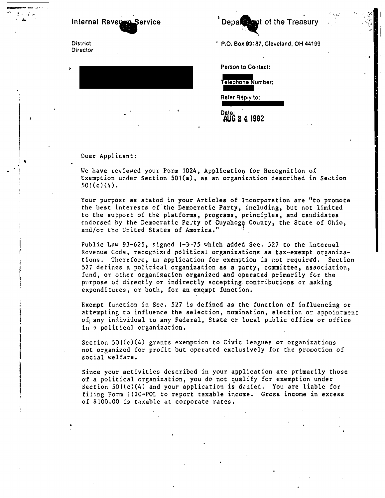Internal Reversian Service

District: Director

 $\mathbf{C}$ 

P.O. Box 99187, Cleveland, OH 44199

t of the Treasury

Person to Contact:

Denal

Telephone Number: Refer Reply to:

Date: AUG 2 4 1982

## Dear Applicant:

We have reviewed your Form 1024, Application for Recognition of Exemption under Section 501(a), as an organization described in Section  $501(c)(4)$ .

Your purpose as stated in your Articles of Incorporation are "to promote the best interests of the Democratic Party, including, but not limited to the support of the platforms, programs, principles, and candidates endorsed by the Democratic Party of Cuyahoga County, the State of Ohio, and/or the United States of America."

Public Law 93-625, signed 1-3-75 which added Sec. 527 to the Internal Revenue Code, recognized political organizations as tax-exempt organizations. Therefore, an application for exemption is not required. Section 527 defines a political organization as a party, committee, association, fund, or other organization organized and operated primarily for the purpose of directly or indirectly accepting contributions or making expenditures, or both, for an exempt function.

Exempt function in Sec. 527 is defined as the function of influencing or attempting to influence the selection, nomination, election or appointment of any individual to any Federal, State or local public office or office in a political organization.

Section  $501(c)(4)$  grants exemption to Civic leagues or organizations not organized for profit but operated exclusively for the promotion of social welfare.

Since your activities described in your application are primarily those of a political organization, you do not qualify for exemption under Section  $501(c)(4)$  and your application is degied. You are liable for filing Form 1120-POL to report taxable income. Gross income in excess of \$100.00 is taxable at corporate rates.